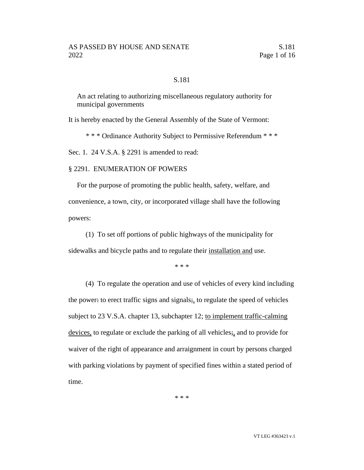#### S.181

An act relating to authorizing miscellaneous regulatory authority for municipal governments

It is hereby enacted by the General Assembly of the State of Vermont:

\* \* \* Ordinance Authority Subject to Permissive Referendum \* \* \*

Sec. 1. 24 V.S.A. § 2291 is amended to read:

#### § 2291. ENUMERATION OF POWERS

For the purpose of promoting the public health, safety, welfare, and convenience, a town, city, or incorporated village shall have the following powers:

(1) To set off portions of public highways of the municipality for sidewalks and bicycle paths and to regulate their installation and use.

\* \* \*

(4) To regulate the operation and use of vehicles of every kind including the power: to erect traffic signs and signals; to regulate the speed of vehicles subject to 23 V.S.A. chapter 13, subchapter 12; to implement traffic-calming devices, to regulate or exclude the parking of all vehicles;, and to provide for waiver of the right of appearance and arraignment in court by persons charged with parking violations by payment of specified fines within a stated period of time.

\* \* \*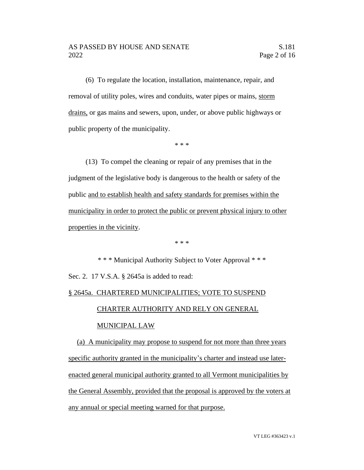(6) To regulate the location, installation, maintenance, repair, and removal of utility poles, wires and conduits, water pipes or mains, storm drains, or gas mains and sewers, upon, under, or above public highways or public property of the municipality.

\* \* \*

(13) To compel the cleaning or repair of any premises that in the judgment of the legislative body is dangerous to the health or safety of the public and to establish health and safety standards for premises within the municipality in order to protect the public or prevent physical injury to other properties in the vicinity.

\* \* \*

\* \* \* Municipal Authority Subject to Voter Approval \* \* \* Sec. 2. 17 V.S.A. § 2645a is added to read:

# § 2645a. CHARTERED MUNICIPALITIES; VOTE TO SUSPEND

## CHARTER AUTHORITY AND RELY ON GENERAL

### MUNICIPAL LAW

(a) A municipality may propose to suspend for not more than three years specific authority granted in the municipality's charter and instead use laterenacted general municipal authority granted to all Vermont municipalities by the General Assembly, provided that the proposal is approved by the voters at any annual or special meeting warned for that purpose.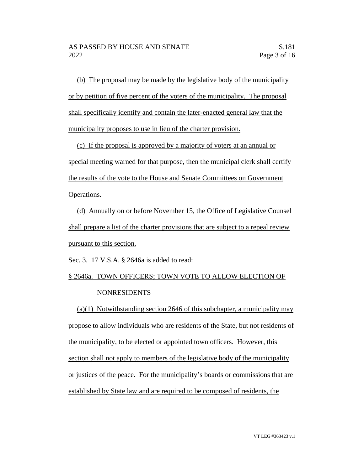(b) The proposal may be made by the legislative body of the municipality or by petition of five percent of the voters of the municipality. The proposal shall specifically identify and contain the later-enacted general law that the municipality proposes to use in lieu of the charter provision.

(c) If the proposal is approved by a majority of voters at an annual or special meeting warned for that purpose, then the municipal clerk shall certify the results of the vote to the House and Senate Committees on Government Operations.

(d) Annually on or before November 15, the Office of Legislative Counsel shall prepare a list of the charter provisions that are subject to a repeal review pursuant to this section.

Sec. 3. 17 V.S.A. § 2646a is added to read:

# § 2646a. TOWN OFFICERS; TOWN VOTE TO ALLOW ELECTION OF NONRESIDENTS

(a)(1) Notwithstanding section 2646 of this subchapter, a municipality may propose to allow individuals who are residents of the State, but not residents of the municipality, to be elected or appointed town officers. However, this section shall not apply to members of the legislative body of the municipality or justices of the peace. For the municipality's boards or commissions that are established by State law and are required to be composed of residents, the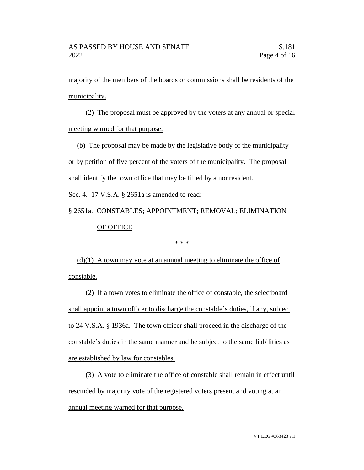majority of the members of the boards or commissions shall be residents of the municipality.

(2) The proposal must be approved by the voters at any annual or special meeting warned for that purpose.

(b) The proposal may be made by the legislative body of the municipality or by petition of five percent of the voters of the municipality. The proposal shall identify the town office that may be filled by a nonresident.

Sec. 4. 17 V.S.A. § 2651a is amended to read:

§ 2651a. CONSTABLES; APPOINTMENT; REMOVAL; ELIMINATION OF OFFICE

\* \* \*

 $(d)(1)$  A town may vote at an annual meeting to eliminate the office of constable.

(2) If a town votes to eliminate the office of constable, the selectboard shall appoint a town officer to discharge the constable's duties, if any, subject to 24 V.S.A. § 1936a. The town officer shall proceed in the discharge of the constable's duties in the same manner and be subject to the same liabilities as are established by law for constables.

(3) A vote to eliminate the office of constable shall remain in effect until rescinded by majority vote of the registered voters present and voting at an annual meeting warned for that purpose.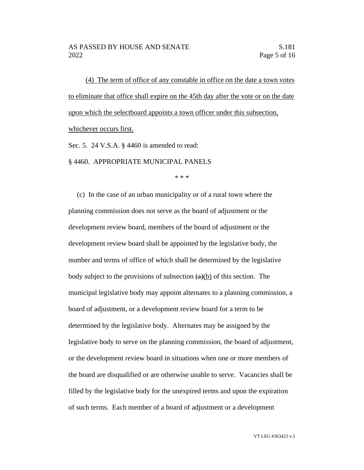(4) The term of office of any constable in office on the date a town votes to eliminate that office shall expire on the 45th day after the vote or on the date upon which the selectboard appoints a town officer under this subsection, whichever occurs first.

Sec. 5. 24 V.S.A. § 4460 is amended to read:

§ 4460. APPROPRIATE MUNICIPAL PANELS

\* \* \*

(c) In the case of an urban municipality or of a rural town where the planning commission does not serve as the board of adjustment or the development review board, members of the board of adjustment or the development review board shall be appointed by the legislative body, the number and terms of office of which shall be determined by the legislative body subject to the provisions of subsection  $(a)(b)$  of this section. The municipal legislative body may appoint alternates to a planning commission, a board of adjustment, or a development review board for a term to be determined by the legislative body. Alternates may be assigned by the legislative body to serve on the planning commission, the board of adjustment, or the development review board in situations when one or more members of the board are disqualified or are otherwise unable to serve. Vacancies shall be filled by the legislative body for the unexpired terms and upon the expiration of such terms. Each member of a board of adjustment or a development

VT LEG #363423 v.1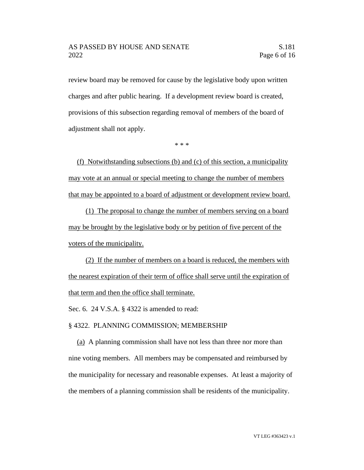review board may be removed for cause by the legislative body upon written charges and after public hearing. If a development review board is created, provisions of this subsection regarding removal of members of the board of adjustment shall not apply.

\* \* \*

(f) Notwithstanding subsections (b) and (c) of this section, a municipality may vote at an annual or special meeting to change the number of members that may be appointed to a board of adjustment or development review board.

(1) The proposal to change the number of members serving on a board may be brought by the legislative body or by petition of five percent of the voters of the municipality.

(2) If the number of members on a board is reduced, the members with the nearest expiration of their term of office shall serve until the expiration of that term and then the office shall terminate.

Sec. 6. 24 V.S.A. § 4322 is amended to read:

#### § 4322. PLANNING COMMISSION; MEMBERSHIP

(a) A planning commission shall have not less than three nor more than nine voting members. All members may be compensated and reimbursed by the municipality for necessary and reasonable expenses. At least a majority of the members of a planning commission shall be residents of the municipality.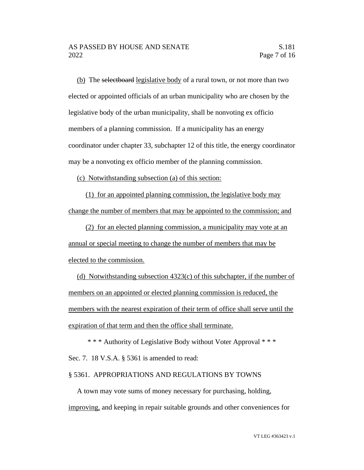(b) The selectboard legislative body of a rural town, or not more than two elected or appointed officials of an urban municipality who are chosen by the legislative body of the urban municipality, shall be nonvoting ex officio members of a planning commission. If a municipality has an energy coordinator under chapter 33, subchapter 12 of this title, the energy coordinator may be a nonvoting ex officio member of the planning commission.

(c) Notwithstanding subsection (a) of this section:

(1) for an appointed planning commission, the legislative body may change the number of members that may be appointed to the commission; and

(2) for an elected planning commission, a municipality may vote at an annual or special meeting to change the number of members that may be elected to the commission.

(d) Notwithstanding subsection 4323(c) of this subchapter, if the number of members on an appointed or elected planning commission is reduced, the members with the nearest expiration of their term of office shall serve until the expiration of that term and then the office shall terminate.

\* \* \* Authority of Legislative Body without Voter Approval \* \* \* Sec. 7. 18 V.S.A. § 5361 is amended to read:

#### § 5361. APPROPRIATIONS AND REGULATIONS BY TOWNS

A town may vote sums of money necessary for purchasing, holding, improving, and keeping in repair suitable grounds and other conveniences for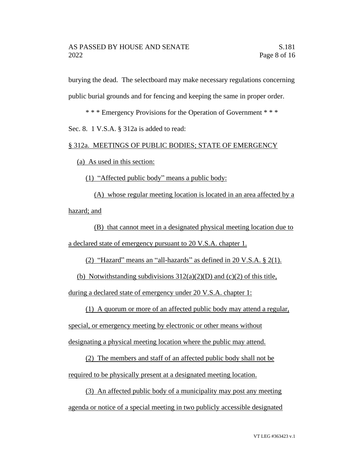burying the dead. The selectboard may make necessary regulations concerning public burial grounds and for fencing and keeping the same in proper order.

\* \* \* Emergency Provisions for the Operation of Government \* \* \*

Sec. 8. 1 V.S.A. § 312a is added to read:

### § 312a. MEETINGS OF PUBLIC BODIES; STATE OF EMERGENCY

(a) As used in this section:

(1) "Affected public body" means a public body:

(A) whose regular meeting location is located in an area affected by a hazard; and

(B) that cannot meet in a designated physical meeting location due to a declared state of emergency pursuant to 20 V.S.A. chapter 1.

(2) "Hazard" means an "all-hazards" as defined in 20 V.S.A. § 2(1).

(b) Notwithstanding subdivisions  $312(a)(2)(D)$  and (c)(2) of this title,

during a declared state of emergency under 20 V.S.A. chapter 1:

(1) A quorum or more of an affected public body may attend a regular,

special, or emergency meeting by electronic or other means without

designating a physical meeting location where the public may attend.

(2) The members and staff of an affected public body shall not be required to be physically present at a designated meeting location.

(3) An affected public body of a municipality may post any meeting agenda or notice of a special meeting in two publicly accessible designated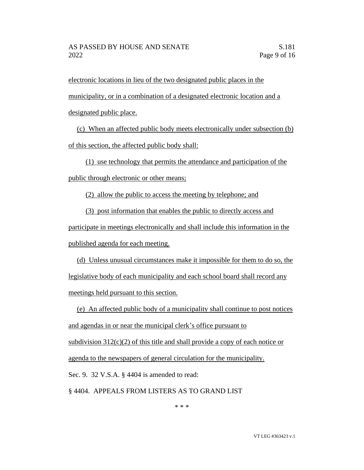electronic locations in lieu of the two designated public places in the municipality, or in a combination of a designated electronic location and a designated public place.

(c) When an affected public body meets electronically under subsection (b) of this section, the affected public body shall:

(1) use technology that permits the attendance and participation of the public through electronic or other means;

(2) allow the public to access the meeting by telephone; and

(3) post information that enables the public to directly access and

participate in meetings electronically and shall include this information in the published agenda for each meeting.

(d) Unless unusual circumstances make it impossible for them to do so, the legislative body of each municipality and each school board shall record any meetings held pursuant to this section.

(e) An affected public body of a municipality shall continue to post notices and agendas in or near the municipal clerk's office pursuant to subdivision  $312(c)(2)$  of this title and shall provide a copy of each notice or agenda to the newspapers of general circulation for the municipality. Sec. 9. 32 V.S.A. § 4404 is amended to read: § 4404. APPEALS FROM LISTERS AS TO GRAND LIST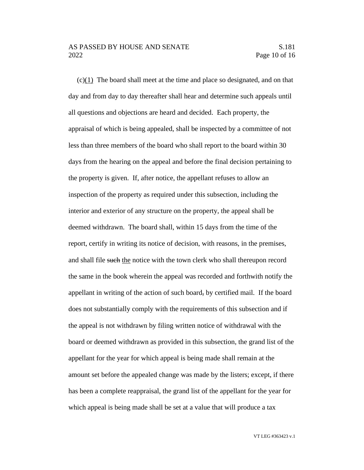#### AS PASSED BY HOUSE AND SENATE S.181 2022 Page 10 of 16

(c)(1) The board shall meet at the time and place so designated, and on that day and from day to day thereafter shall hear and determine such appeals until all questions and objections are heard and decided. Each property, the appraisal of which is being appealed, shall be inspected by a committee of not less than three members of the board who shall report to the board within 30 days from the hearing on the appeal and before the final decision pertaining to the property is given. If, after notice, the appellant refuses to allow an inspection of the property as required under this subsection, including the interior and exterior of any structure on the property, the appeal shall be deemed withdrawn. The board shall, within 15 days from the time of the report, certify in writing its notice of decision, with reasons, in the premises, and shall file such the notice with the town clerk who shall thereupon record the same in the book wherein the appeal was recorded and forthwith notify the appellant in writing of the action of such board, by certified mail. If the board does not substantially comply with the requirements of this subsection and if the appeal is not withdrawn by filing written notice of withdrawal with the board or deemed withdrawn as provided in this subsection, the grand list of the appellant for the year for which appeal is being made shall remain at the amount set before the appealed change was made by the listers; except, if there has been a complete reappraisal, the grand list of the appellant for the year for which appeal is being made shall be set at a value that will produce a tax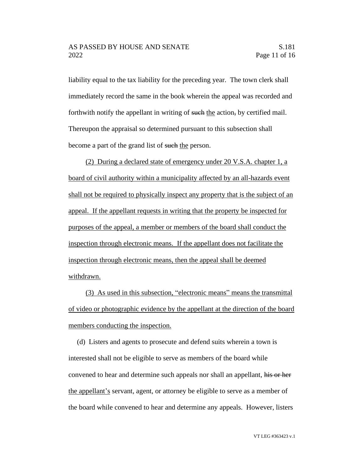liability equal to the tax liability for the preceding year. The town clerk shall immediately record the same in the book wherein the appeal was recorded and forthwith notify the appellant in writing of such the action, by certified mail. Thereupon the appraisal so determined pursuant to this subsection shall become a part of the grand list of such the person.

(2) During a declared state of emergency under 20 V.S.A. chapter 1, a board of civil authority within a municipality affected by an all-hazards event shall not be required to physically inspect any property that is the subject of an appeal. If the appellant requests in writing that the property be inspected for purposes of the appeal, a member or members of the board shall conduct the inspection through electronic means. If the appellant does not facilitate the inspection through electronic means, then the appeal shall be deemed withdrawn.

(3) As used in this subsection, "electronic means" means the transmittal of video or photographic evidence by the appellant at the direction of the board members conducting the inspection.

(d) Listers and agents to prosecute and defend suits wherein a town is interested shall not be eligible to serve as members of the board while convened to hear and determine such appeals nor shall an appellant, his or her the appellant's servant, agent, or attorney be eligible to serve as a member of the board while convened to hear and determine any appeals. However, listers

VT LEG #363423 v.1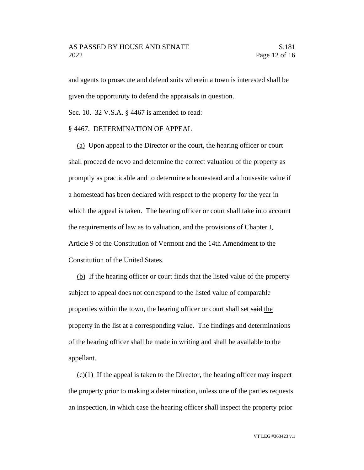#### AS PASSED BY HOUSE AND SENATE S.181 2022 Page 12 of 16

and agents to prosecute and defend suits wherein a town is interested shall be given the opportunity to defend the appraisals in question.

Sec. 10. 32 V.S.A. § 4467 is amended to read:

#### § 4467. DETERMINATION OF APPEAL

(a) Upon appeal to the Director or the court, the hearing officer or court shall proceed de novo and determine the correct valuation of the property as promptly as practicable and to determine a homestead and a housesite value if a homestead has been declared with respect to the property for the year in which the appeal is taken. The hearing officer or court shall take into account the requirements of law as to valuation, and the provisions of Chapter I, Article 9 of the Constitution of Vermont and the 14th Amendment to the Constitution of the United States.

(b) If the hearing officer or court finds that the listed value of the property subject to appeal does not correspond to the listed value of comparable properties within the town, the hearing officer or court shall set said the property in the list at a corresponding value. The findings and determinations of the hearing officer shall be made in writing and shall be available to the appellant.

 $(c)(1)$  If the appeal is taken to the Director, the hearing officer may inspect the property prior to making a determination, unless one of the parties requests an inspection, in which case the hearing officer shall inspect the property prior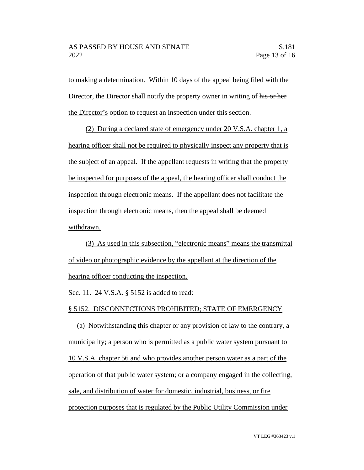to making a determination. Within 10 days of the appeal being filed with the Director, the Director shall notify the property owner in writing of his or her the Director's option to request an inspection under this section.

(2) During a declared state of emergency under 20 V.S.A. chapter 1, a hearing officer shall not be required to physically inspect any property that is the subject of an appeal. If the appellant requests in writing that the property be inspected for purposes of the appeal, the hearing officer shall conduct the inspection through electronic means. If the appellant does not facilitate the inspection through electronic means, then the appeal shall be deemed withdrawn.

(3) As used in this subsection, "electronic means" means the transmittal of video or photographic evidence by the appellant at the direction of the hearing officer conducting the inspection.

Sec. 11. 24 V.S.A. § 5152 is added to read:

§ 5152. DISCONNECTIONS PROHIBITED; STATE OF EMERGENCY

(a) Notwithstanding this chapter or any provision of law to the contrary, a municipality; a person who is permitted as a public water system pursuant to 10 V.S.A. chapter 56 and who provides another person water as a part of the operation of that public water system; or a company engaged in the collecting, sale, and distribution of water for domestic, industrial, business, or fire protection purposes that is regulated by the Public Utility Commission under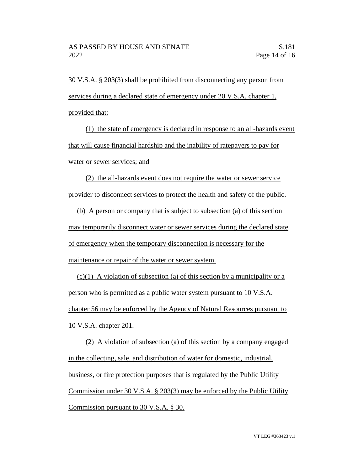30 V.S.A. § 203(3) shall be prohibited from disconnecting any person from services during a declared state of emergency under 20 V.S.A. chapter 1, provided that:

(1) the state of emergency is declared in response to an all-hazards event that will cause financial hardship and the inability of ratepayers to pay for water or sewer services; and

(2) the all-hazards event does not require the water or sewer service provider to disconnect services to protect the health and safety of the public.

(b) A person or company that is subject to subsection (a) of this section may temporarily disconnect water or sewer services during the declared state of emergency when the temporary disconnection is necessary for the maintenance or repair of the water or sewer system.

 $(c)(1)$  A violation of subsection (a) of this section by a municipality or a person who is permitted as a public water system pursuant to 10 V.S.A. chapter 56 may be enforced by the Agency of Natural Resources pursuant to 10 V.S.A. chapter 201.

(2) A violation of subsection (a) of this section by a company engaged in the collecting, sale, and distribution of water for domestic, industrial, business, or fire protection purposes that is regulated by the Public Utility Commission under 30 V.S.A. § 203(3) may be enforced by the Public Utility Commission pursuant to 30 V.S.A. § 30.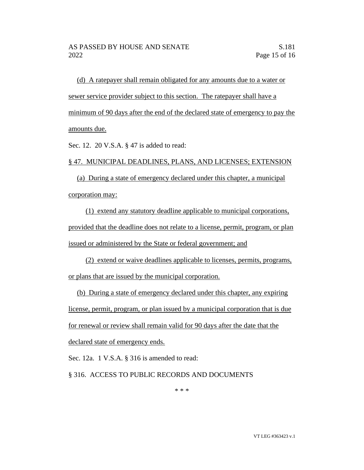(d) A ratepayer shall remain obligated for any amounts due to a water or sewer service provider subject to this section. The ratepayer shall have a minimum of 90 days after the end of the declared state of emergency to pay the amounts due.

Sec. 12. 20 V.S.A. § 47 is added to read:

#### § 47. MUNICIPAL DEADLINES, PLANS, AND LICENSES; EXTENSION

(a) During a state of emergency declared under this chapter, a municipal corporation may:

(1) extend any statutory deadline applicable to municipal corporations, provided that the deadline does not relate to a license, permit, program, or plan issued or administered by the State or federal government; and

(2) extend or waive deadlines applicable to licenses, permits, programs, or plans that are issued by the municipal corporation.

(b) During a state of emergency declared under this chapter, any expiring license, permit, program, or plan issued by a municipal corporation that is due for renewal or review shall remain valid for 90 days after the date that the declared state of emergency ends.

Sec. 12a. 1 V.S.A. § 316 is amended to read:

§ 316. ACCESS TO PUBLIC RECORDS AND DOCUMENTS

\* \* \*